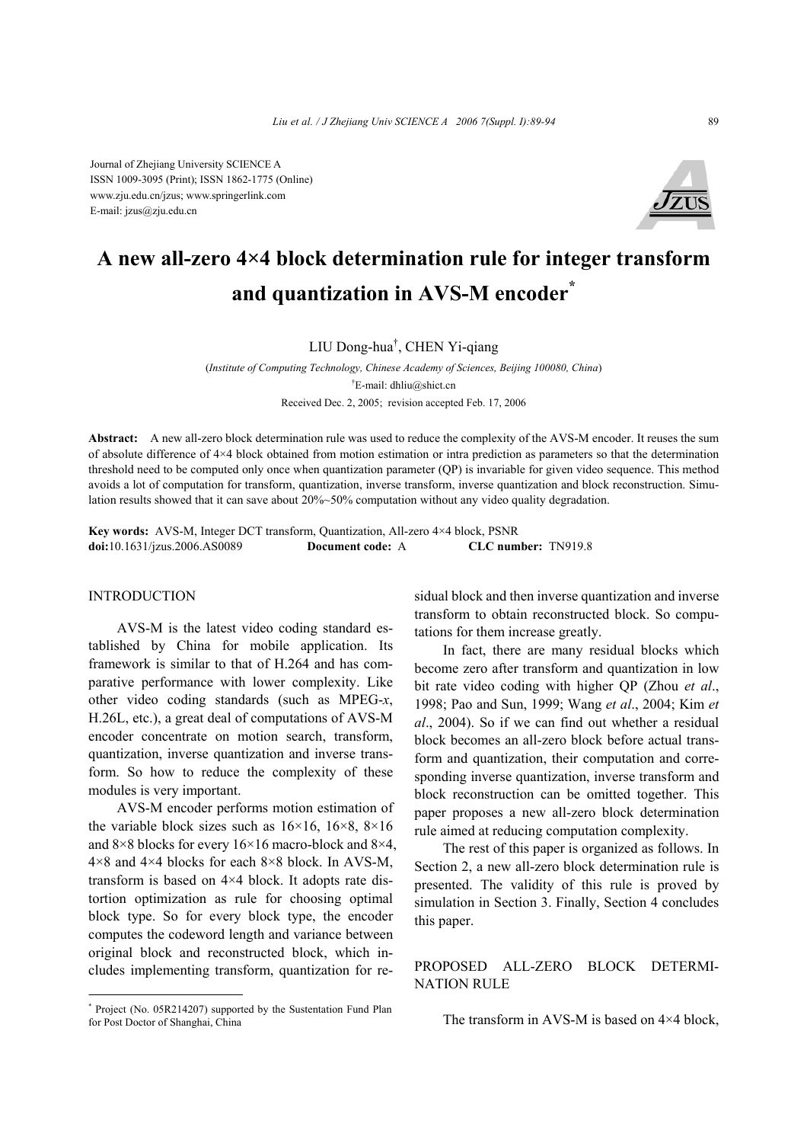Journal of Zhejiang University SCIENCE A ISSN 1009-3095 (Print); ISSN 1862-1775 (Online) www.zju.edu.cn/jzus; www.springerlink.com E-mail: jzus@zju.edu.cn



# **A new all-zero 4×4 block determination rule for integer transform and quantization in AVS-M encoder\***

LIU Dong-hua† , CHEN Yi-qiang

(*Institute of Computing Technology, Chinese Academy of Sciences, Beijing 100080, China*) † E-mail: dhliu@shict.cn Received Dec. 2, 2005; revision accepted Feb. 17, 2006

**Abstract:** A new all-zero block determination rule was used to reduce the complexity of the AVS-M encoder. It reuses the sum of absolute difference of 4×4 block obtained from motion estimation or intra prediction as parameters so that the determination threshold need to be computed only once when quantization parameter (QP) is invariable for given video sequence. This method avoids a lot of computation for transform, quantization, inverse transform, inverse quantization and block reconstruction. Simulation results showed that it can save about 20%~50% computation without any video quality degradation.

**Key words:** AVS-M, Integer DCT transform, Quantization, All-zero 4×4 block, PSNR **doi:**10.1631/jzus.2006.AS0089 **Document code:** A **CLC number:** TN919.8

## **INTRODUCTION**

AVS-M is the latest video coding standard established by China for mobile application. Its framework is similar to that of H.264 and has comparative performance with lower complexity. Like other video coding standards (such as MPEG-*x*, H.26L, etc.), a great deal of computations of AVS-M encoder concentrate on motion search, transform, quantization, inverse quantization and inverse transform. So how to reduce the complexity of these modules is very important.

AVS-M encoder performs motion estimation of the variable block sizes such as  $16\times16$ ,  $16\times8$ ,  $8\times16$ and 8×8 blocks for every 16×16 macro-block and 8×4,  $4\times8$  and  $4\times4$  blocks for each  $8\times8$  block. In AVS-M, transform is based on 4×4 block. It adopts rate distortion optimization as rule for choosing optimal block type. So for every block type, the encoder computes the codeword length and variance between original block and reconstructed block, which includes implementing transform, quantization for residual block and then inverse quantization and inverse transform to obtain reconstructed block. So computations for them increase greatly.

In fact, there are many residual blocks which become zero after transform and quantization in low bit rate video coding with higher QP (Zhou *et al*., 1998; Pao and Sun, 1999; Wang *et al*., 2004; Kim *et al*., 2004). So if we can find out whether a residual block becomes an all-zero block before actual transform and quantization, their computation and corresponding inverse quantization, inverse transform and block reconstruction can be omitted together. This paper proposes a new all-zero block determination rule aimed at reducing computation complexity.

The rest of this paper is organized as follows. In Section 2, a new all-zero block determination rule is presented. The validity of this rule is proved by simulation in Section 3. Finally, Section 4 concludes this paper.

PROPOSED ALL-ZERO BLOCK DETERMI-NATION RULE

The transform in AVS-M is based on  $4\times4$  block,

<sup>\*</sup> Project (No. 05R214207) supported by the Sustentation Fund Plan for Post Doctor of Shanghai, China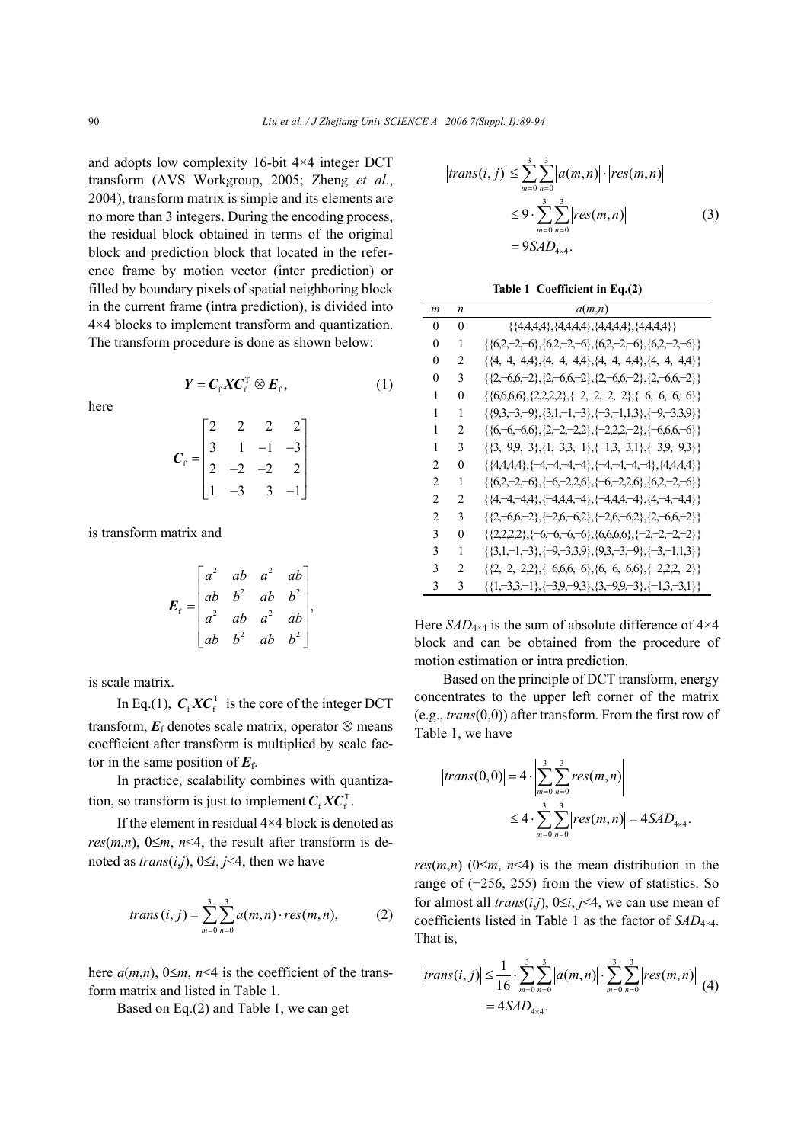and adopts low complexity 16-bit 4×4 integer DCT transform (AVS Workgroup, 2005; Zheng *et al*., 2004), transform matrix is simple and its elements are no more than 3 integers. During the encoding process, the residual block obtained in terms of the original block and prediction block that located in the reference frame by motion vector (inter prediction) or filled by boundary pixels of spatial neighboring block in the current frame (intra prediction), is divided into 4×4 blocks to implement transform and quantization. The transform procedure is done as shown below:

here

$$
\boldsymbol{Y} = \boldsymbol{C}_{\mathrm{f}} \boldsymbol{X} \boldsymbol{C}_{\mathrm{f}}^{\mathrm{T}} \otimes \boldsymbol{E}_{\mathrm{f}}, \tag{1}
$$

$$
C_{\rm f} = \begin{bmatrix} 2 & 2 & 2 & 2 \\ 3 & 1 & -1 & -3 \\ 2 & -2 & -2 & 2 \\ 1 & -3 & 3 & -1 \end{bmatrix}
$$

is transform matrix and

$$
E_{\rm f} = \begin{bmatrix} a^2 & ab & a^2 & ab \\ ab & b^2 & ab & b^2 \\ a^2 & ab & a^2 & ab \\ ab & b^2 & ab & b^2 \end{bmatrix},
$$

is scale matrix.

In Eq.(1),  $C_f X C_f^T$  is the core of the integer DCT transform,  $E_f$  denotes scale matrix, operator  $\otimes$  means coefficient after transform is multiplied by scale factor in the same position of  $E_f$ .

In practice, scalability combines with quantization, so transform is just to implement  $C_f X C_f^T$ .

If the element in residual 4×4 block is denoted as *res*( $m,n$ ), 0 $\leq m$ ,  $n<4$ , the result after transform is denoted as  $trans(i,j)$ ,  $0 \leq i, j \leq 4$ , then we have

$$
trans(i, j) = \sum_{m=0}^{3} \sum_{n=0}^{3} a(m, n) \cdot res(m, n),
$$
 (2)

here  $a(m,n)$ ,  $0 \le m$ ,  $n \le 4$  is the coefficient of the transform matrix and listed in Table 1.

Based on Eq.(2) and Table 1, we can get

$$
|trans(i, j)| \leq \sum_{m=0}^{3} \sum_{n=0}^{3} |a(m, n)| \cdot |res(m, n)|
$$
  
\n
$$
\leq 9 \cdot \sum_{m=0}^{3} \sum_{n=0}^{3} |res(m, n)|
$$
  
\n
$$
= 9SAD_{4\times 4}.
$$
 (3)

**Table 1 Coefficient in Eq.(2)** 

| m              | n              | a(m,n)                                                                        |
|----------------|----------------|-------------------------------------------------------------------------------|
| 0              | 0              | $\{\{4,4,4,4\},\{4,4,4,4\},\{4,4,4,4\},\{4,4,4,4\}\}\$                        |
| 0              | 1              | $\{\{62, -2, -6\}, \{62, -2, -6\}, \{62, -2, -6\}, \{62, -2, -6\}\}$          |
| 0              | $\overline{c}$ | $\{\{4, -4, -4, 4\}, \{4, -4, -4, 4\}, \{4, -4, -4, 4\}, \{4, -4, -4, 4\}\}$  |
| 0              | 3              | $\{\{2, -6, 6, -2\}, \{2, -6, 6, -2\}, \{2, -6, 6, -2\}, \{2, -6, 6, -2\}\}\$ |
| 1              | 0              | $\{\{6,6,6\},\{2,2,2,2\},\{-2,-2,-2,-2\},\{-6,-6,-6,-6\}\}$                   |
| 1              | 1              | $\{\{9,3,-3,-9\},\{3,1,-1,-3\},\{-3,-1,1,3\},\{-9,-3,3,9\}\}$                 |
| 1              | $\mathfrak{D}$ | $\{\{6, -6, -6, 6\}, \{2, -2, -2, 2\}, \{-2, 2, 2, -2\}, \{-6, 6, 6, -6\}\}$  |
| 1              | 3              | $\{\{3, -9.9, -3\}, \{1, -3.3, -1\}, \{-1.3, -3.1\}, \{-3.9, -9.3\}\}$        |
| $\mathfrak{D}$ | 0              | $\{\{4,4,4,4\}, \{-4,-4,-4,-4\}, \{-4,-4,-4,-4\}, \{4,4,4,4\}\}$              |
| $\mathfrak{D}$ | 1              | $\{ \{6.2, -2, -6\}, \{-6, -2.2, 6\}, \{-6, -2.2, 6\}, \{6.2, -2, -6\} \}$    |
| $\mathfrak{D}$ | $\mathfrak{D}$ | {{4,-4,-4,4}, {-4,4,4,-4}, {-4,4,4,-4}, {4,-4,-4,4}}                          |
| 2              | 3              | $\{\{2,-6,6,-2\},\{-2,6,-6,2\},\{-2,6,-6,2\},\{2,-6,6,-2\}\}$                 |
| 3              | 0              | $\{\{2,2,2,2\},\{-6,-6,-6\},\{6,6,6,6\},\{-2,-2,-2,\{-2\}\}\}$                |
| 3              | 1              | $\{\{3,1,-1,-3\},\{-9,-3,3,9\},\{9,3,-3,-9\},\{-3,-1,1,3\}\}$                 |
| 3              | 2              | $\{ \{2, -2, -2, 2\}, \{-6, 6, 6, -6\}, \{-6, -6, 6\}, \{-2, 2, -2\} \}$      |
| 3              | 3              | {{1,-3,3,-1},{-3,9,-9,3},{3,-9,9,-3},{-1,3,-3,1}}                             |

Here  $SAD_{4\times4}$  is the sum of absolute difference of  $4\times4$ block and can be obtained from the procedure of motion estimation or intra prediction.

Based on the principle of DCT transform, energy concentrates to the upper left corner of the matrix (e.g., *trans*(0,0)) after transform. From the first row of Table 1, we have

$$
|trans(0,0)| = 4 \cdot \left| \sum_{m=0}^{3} \sum_{n=0}^{3} res(m,n) \right|
$$
  
 
$$
\leq 4 \cdot \sum_{m=0}^{3} \sum_{n=0}^{3} |res(m,n)| = 4SAD_{4\times 4}.
$$

*res*( $m,n$ ) ( $0 \le m, n \le 4$ ) is the mean distribution in the range of (−256, 255) from the view of statistics. So for almost all *trans*(*i*,*j*), 0≤*i*, *j*<4, we can use mean of coefficients listed in Table 1 as the factor of *SAD*4×4. That is,

$$
\begin{aligned} \left| trans(i,j) \right| &\leq \frac{1}{16} \cdot \sum_{m=0}^{3} \sum_{n=0}^{3} \left| a(m,n) \right| \cdot \sum_{m=0}^{3} \sum_{n=0}^{3} \left| res(m,n) \right| \\ &= 4SAD_{4\times 4}. \end{aligned} \tag{4}
$$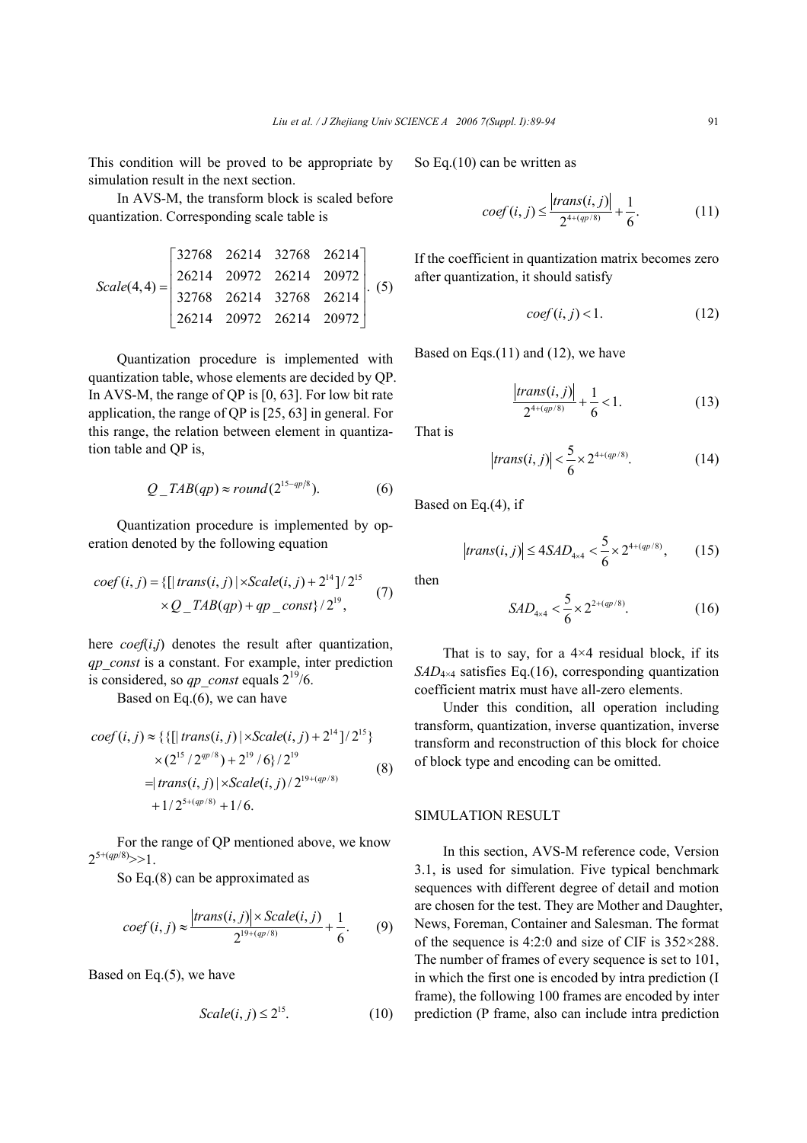This condition will be proved to be appropriate by simulation result in the next section.

In AVS-M, the transform block is scaled before quantization. Corresponding scale table is

$$
Scale(4,4) = \begin{bmatrix} 32768 & 26214 & 32768 & 26214 \\ 26214 & 20972 & 26214 & 20972 \\ 32768 & 26214 & 32768 & 26214 \\ 26214 & 20972 & 26214 & 20972 \end{bmatrix}.
$$
 (5)

Quantization procedure is implemented with quantization table, whose elements are decided by QP. In AVS-M, the range of QP is [0, 63]. For low bit rate application, the range of QP is [25, 63] in general. For this range, the relation between element in quantization table and QP is,

$$
Q\_TAB(qp) \approx round(2^{15-qp/8}).\tag{6}
$$

Quantization procedure is implemented by operation denoted by the following equation

$$
coef(i, j) = \{ [ | trans(i, j) | \times Scale(i, j) + 214] / 215 \times Q_{IAB}(qp) + qp_{const} \} / 219, \tag{7}
$$

here  $\text{coeff}(i,j)$  denotes the result after quantization, *qp*\_*const* is a constant. For example, inter prediction is considered, so *qp* const equals  $2^{19}/6$ .

Based on Eq.(6), we can have

$$
\begin{aligned}\n\text{coef}(i,j) &\approx \{ \{ [\mid \text{trans}(i,j) \mid \times \text{Scale}(i,j) + 2^{14}]/2^{15} \} \\
&\times (2^{15}/2^{qp/8}) + 2^{19}/6 \} / 2^{19} \\
&= |\text{trans}(i,j) \mid \times \text{Scale}(i,j) / 2^{19 + (qp/8)} \\
&\quad + 1 / 2^{5 + (qp/8)} + 1 / 6.\n\end{aligned}\n\tag{8}
$$

For the range of QP mentioned above, we know  $2^{5+(qp/8)}>>1$ 

So Eq.(8) can be approximated as

$$
coef(i, j) \approx \frac{|trans(i, j)| \times Scale(i, j)}{2^{19 + (qp/8)}} + \frac{1}{6}.
$$
 (9)

Based on Eq.(5), we have

$$
Scale(i, j) \le 2^{15}.\tag{10}
$$

So Eq.(10) can be written as

$$
coeff(i,j) \le \frac{|trans(i,j)|}{2^{4+(qp/8)}} + \frac{1}{6}.
$$
 (11)

If the coefficient in quantization matrix becomes zero after quantization, it should satisfy

$$
\text{coef}(i, j) < 1. \tag{12}
$$

Based on Eqs. $(11)$  and  $(12)$ , we have

$$
\left|\frac{trans(i,j)}{2^{4+(qp/8)}}\right| + \frac{1}{6} < 1.
$$
 (13)

That is

$$
|trans(i,j)| < \frac{5}{6} \times 2^{4+(qp/8)}.
$$
 (14)

Based on Eq.(4), if

$$
trans(i, j) \le 4SAD_{4\times 4} < \frac{5}{6} \times 2^{4 + (qp/8)},\tag{15}
$$

then

$$
SAD_{4\times 4} < \frac{5}{6} \times 2^{2+(qp/8)}.\tag{16}
$$

That is to say, for a  $4\times4$  residual block, if its *SAD*4×4 satisfies Eq.(16), corresponding quantization coefficient matrix must have all-zero elements.

Under this condition, all operation including transform, quantization, inverse quantization, inverse transform and reconstruction of this block for choice of block type and encoding can be omitted.

## SIMULATION RESULT

In this section, AVS-M reference code, Version 3.1, is used for simulation. Five typical benchmark sequences with different degree of detail and motion are chosen for the test. They are Mother and Daughter, News, Foreman, Container and Salesman. The format of the sequence is 4:2:0 and size of CIF is 352×288. The number of frames of every sequence is set to 101, in which the first one is encoded by intra prediction (I frame), the following 100 frames are encoded by inter prediction (P frame, also can include intra prediction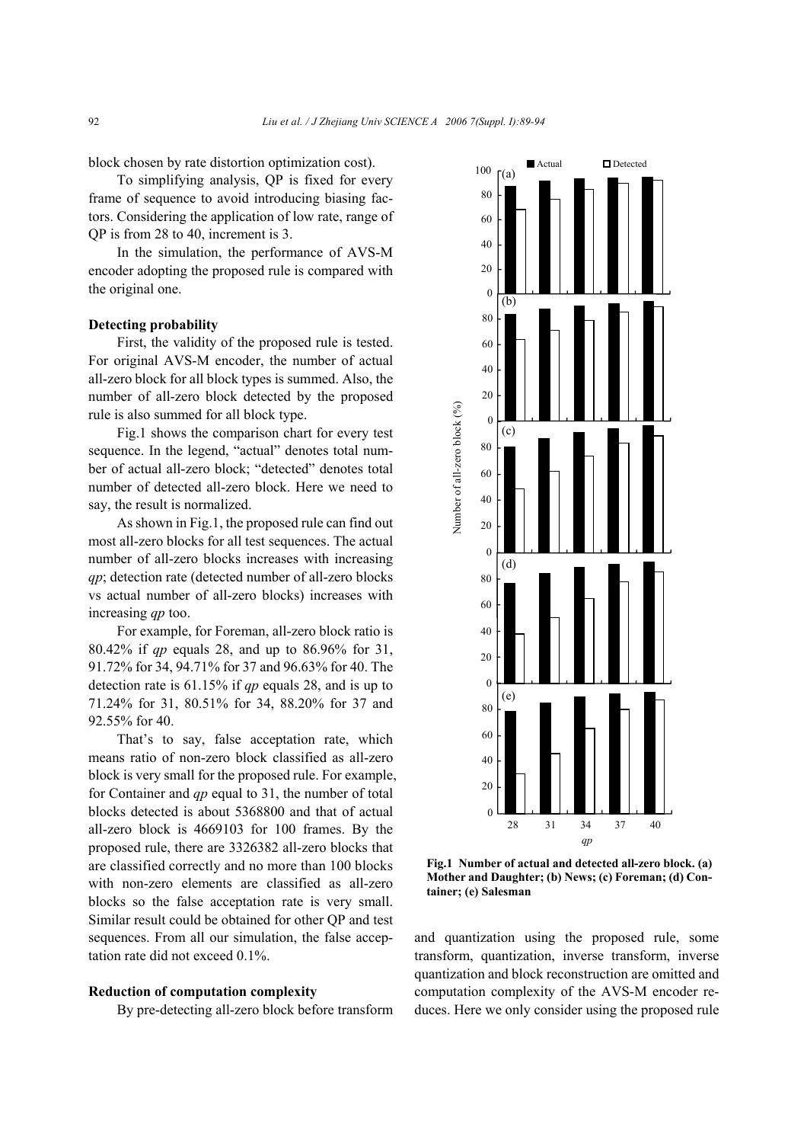block chosen by rate distortion optimization cost).

To simplifying analysis, QP is fixed for every frame of sequence to avoid introducing biasing factors. Considering the application of low rate, range of QP is from 28 to 40, increment is 3.

In the simulation, the performance of AVS-M encoder adopting the proposed rule is compared with the original one.

## **Detecting probability**

First, the validity of the proposed rule is tested. For original AVS-M encoder, the number of actual all-zero block for all block types is summed. Also, the number of all-zero block detected by the proposed rule is also summed for all block type.

Fig.1 shows the comparison chart for every test sequence. In the legend, "actual" denotes total number of actual all-zero block; "detected" denotes total number of detected all-zero block. Here we need to say, the result is normalized.

As shown in Fig.1, the proposed rule can find out most all-zero blocks for all test sequences. The actual number of all-zero blocks increases with increasing *qp*; detection rate (detected number of all-zero blocks vs actual number of all-zero blocks) increases with increasing *qp* too.

For example, for Foreman, all-zero block ratio is 80.42% if *qp* equals 28, and up to 86.96% for 31, 91.72% for 34, 94.71% for 37 and 96.63% for 40. The detection rate is 61.15% if *qp* equals 28, and is up to 71.24% for 31, 80.51% for 34, 88.20% for 37 and 92.55% for 40.

That's to say, false acceptation rate, which means ratio of non-zero block classified as all-zero block is very small for the proposed rule. For example, for Container and *qp* equal to 31, the number of total blocks detected is about 5368800 and that of actual all-zero block is 4669103 for 100 frames. By the proposed rule, there are 3326382 all-zero blocks that are classified correctly and no more than 100 blocks with non-zero elements are classified as all-zero blocks so the false acceptation rate is very small. Similar result could be obtained for other QP and test sequences. From all our simulation, the false acceptation rate did not exceed 0.1%.

## **Reduction of computation complexity**

By pre-detecting all-zero block before transform



**Fig.1 Number of actual and detected all-zero block. (a) Mother and Daughter; (b) News; (c) Foreman; (d) Container; (e) Salesman** 

and quantization using the proposed rule, some transform, quantization, inverse transform, inverse quantization and block reconstruction are omitted and computation complexity of the AVS-M encoder reduces. Here we only consider using the proposed rule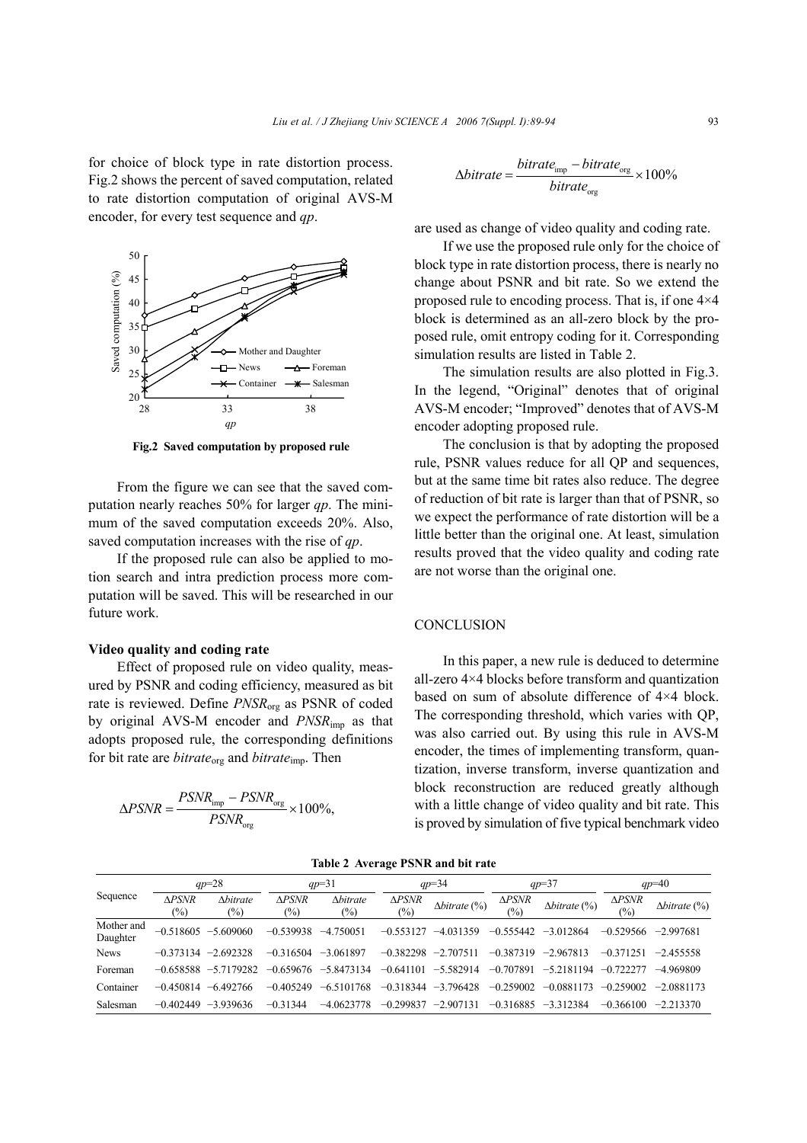for choice of block type in rate distortion process. Fig.2 shows the percent of saved computation, related to rate distortion computation of original AVS-M encoder, for every test sequence and *qp*.



**Fig.2 Saved computation by proposed rule**

From the figure we can see that the saved computation nearly reaches 50% for larger *qp*. The minimum of the saved computation exceeds 20%. Also, saved computation increases with the rise of *qp*.

If the proposed rule can also be applied to motion search and intra prediction process more computation will be saved. This will be researched in our future work.

## **Video quality and coding rate**

Effect of proposed rule on video quality, measured by PSNR and coding efficiency, measured as bit rate is reviewed. Define *PNSR*org as PSNR of coded by original AVS-M encoder and *PNSR*imp as that adopts proposed rule, the corresponding definitions for bit rate are *bitrate*<sub>org</sub> and *bitrate*<sub>imp</sub>. Then

$$
\Delta PSNR = \frac{PSNR_{\text{imp}} - PSNR_{\text{org}}}{PSNR_{\text{org}}} \times 100\%,
$$

$$
\Delta{bitrate} = \frac{bitrate_{\rm imp} - bitrate_{\rm org}}{bitrate_{\rm org}} \times 100\%
$$

are used as change of video quality and coding rate.

If we use the proposed rule only for the choice of block type in rate distortion process, there is nearly no change about PSNR and bit rate. So we extend the proposed rule to encoding process. That is, if one 4×4 block is determined as an all-zero block by the proposed rule, omit entropy coding for it. Corresponding simulation results are listed in Table 2.

The simulation results are also plotted in Fig.3. In the legend, "Original" denotes that of original AVS-M encoder; "Improved" denotes that of AVS-M encoder adopting proposed rule.

The conclusion is that by adopting the proposed rule, PSNR values reduce for all QP and sequences, but at the same time bit rates also reduce. The degree of reduction of bit rate is larger than that of PSNR, so we expect the performance of rate distortion will be a little better than the original one. At least, simulation results proved that the video quality and coding rate are not worse than the original one.

### **CONCLUSION**

In this paper, a new rule is deduced to determine all-zero 4×4 blocks before transform and quantization based on sum of absolute difference of 4×4 block. The corresponding threshold, which varies with QP, was also carried out. By using this rule in AVS-M encoder, the times of implementing transform, quantization, inverse transform, inverse quantization and block reconstruction are reduced greatly although with a little change of video quality and bit rate. This is proved by simulation of five typical benchmark video

**Table 2 Average PSNR and bit rate** 

| Sequence               | $ap=28$                |                           | $qp=31$                |                                                | $qp=34$                 |                      | $qp=37$                 |                      | $ap=40$                           |                      |
|------------------------|------------------------|---------------------------|------------------------|------------------------------------------------|-------------------------|----------------------|-------------------------|----------------------|-----------------------------------|----------------------|
|                        | <b>APSNR</b><br>$(\%)$ | <b>Abitrate</b><br>$(\%)$ | <b>APSNR</b><br>$(\%)$ | <i><u><b>Abitrate</b></u></i><br>$\frac{1}{2}$ | $\triangle PSNR$<br>(%) | $\Delta$ bitrate (%) | $\triangle PSNR$<br>(%) | $\Delta$ bitrate (%) | $\triangle PSNR$<br>$\frac{1}{2}$ | $\Delta$ bitrate (%) |
| Mother and<br>Daughter |                        | $-0.518605 - 5.609060$    | $-0.539938$            | $-4.750051$                                    | $-0.553127$             | $-4.031359$          | $-0.555442$             | $-3012864$           | $-0.529566$                       | $-2.997681$          |
| <b>News</b>            | $-0.373134$            | $-2.692328$               | $-0.316504$            | $-3.061897$                                    | $-0.382298$             | $-2.707511$          | $-0.387319$             | $-2.967813$          | $-0.371251$                       | $-2.455558$          |
| Foreman                | $-0.658588$            | $-5.7179282$              | $-0.659676$            | $-5.8473134$                                   | $-0.641101$             | $-5.582914$          | $-0.707891$             | $-5.2181194$         | $-0.722277$                       | $-4.969809$          |
| Container              | $-0.450814$            | $-6.492766$               | $-0.405249$            | $-6.5101768$                                   | $-0.318344$             | $-3.796428$          | $-0.259002$             | $-0.0881173$         | $-0.259002$                       | $-2.0881173$         |
| Salesman               | $-0.402449$            | $-3.939636$               | $-0.31344$             | $-4.0623778$                                   | $-0.299837$             | $-2.907131$          | $-0.316885$             | $-3312384$           | $-0.366100$                       | $-2.213370$          |